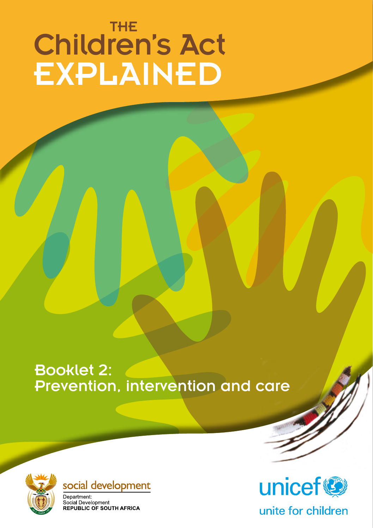# Children's Act EXPLAINED THE

Booklet 2: Prevention, intervention and care





Department: Separation...<br>Social Development<br>REPUBLIC OF SOUTH AFRICA



unite for children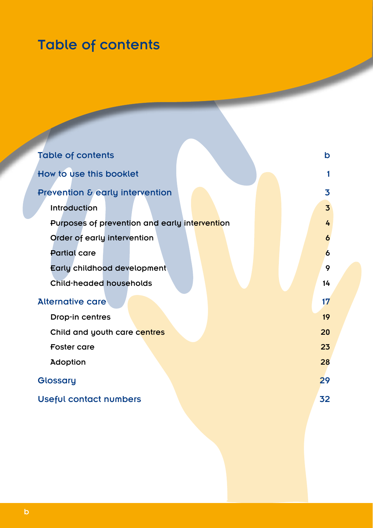# Table of contents

| <b>Table of contents</b>                      | b  |
|-----------------------------------------------|----|
| How to use this booklet                       |    |
| Prevention & early intervention               | 3  |
| <b>Introduction</b>                           | 3  |
| Purposes of prevention and early intervention | 4  |
| Order of early intervention                   |    |
| <b>Partial care</b>                           | 6  |
| Early childhood development                   | 9  |
| Child-headed households                       | 14 |
| <b>Alternative care</b>                       | 17 |
| Drop-in centres                               | 19 |
| Child and youth care centres                  | 20 |
| <b>Foster care</b>                            | 23 |
| <b>Adoption</b>                               | 28 |
| Glossary                                      | 29 |
| Useful contact numbers                        | 32 |
|                                               |    |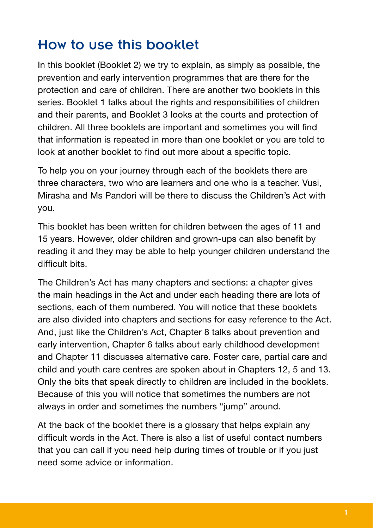## How to use this booklet

In this booklet (Booklet 2) we try to explain, as simply as possible, the prevention and early intervention programmes that are there for the protection and care of children. There are another two booklets in this series. Booklet 1 talks about the rights and responsibilities of children and their parents, and Booklet 3 looks at the courts and protection of children. All three booklets are important and sometimes you will find that information is repeated in more than one booklet or you are told to look at another booklet to find out more about a specific topic.

To help you on your journey through each of the booklets there are three characters, two who are learners and one who is a teacher. Vusi, Mirasha and Ms Pandori will be there to discuss the Children's Act with you.

This booklet has been written for children between the ages of 11 and 15 years. However, older children and grown-ups can also benefit by reading it and they may be able to help younger children understand the difficult bits.

The Children's Act has many chapters and sections: a chapter gives the main headings in the Act and under each heading there are lots of sections, each of them numbered. You will notice that these booklets are also divided into chapters and sections for easy reference to the Act. And, just like the Children's Act, Chapter 8 talks about prevention and early intervention, Chapter 6 talks about early childhood development and Chapter 11 discusses alternative care. Foster care, partial care and child and youth care centres are spoken about in Chapters 12, 5 and 13. Only the bits that speak directly to children are included in the booklets. Because of this you will notice that sometimes the numbers are not always in order and sometimes the numbers "jump" around.

At the back of the booklet there is a glossary that helps explain any difficult words in the Act. There is also a list of useful contact numbers that you can call if you need help during times of trouble or if you just need some advice or information.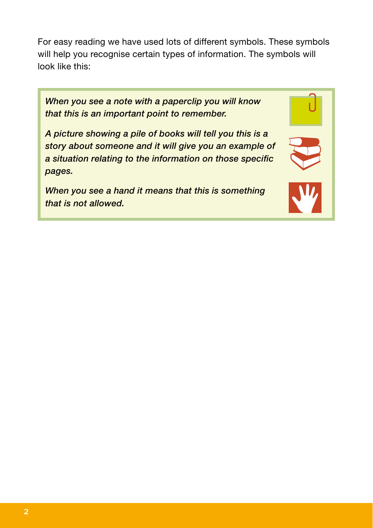For easy reading we have used lots of different symbols. These symbols will help you recognise certain types of information. The symbols will look like this:

*When you see a note with a paperclip you will know that this is an important point to remember.*

*A picture showing a pile of books will tell you this is a story about someone and it will give you an example of a situation relating to the information on those specific pages.*

*When you see a hand it means that this is something that is not allowed.*

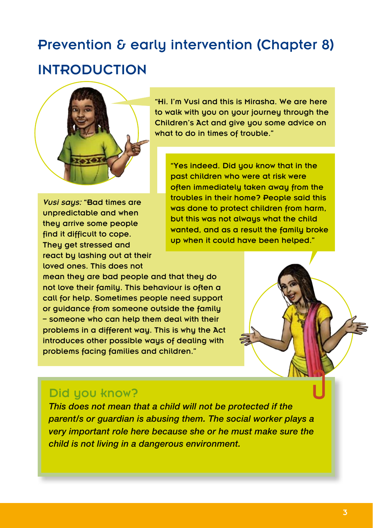# Prevention & early intervention (Chapter 8) **INTRODUCTION**



*Vusi saus: "Bad times are* unpredictable and when they arrive some people find it difficult to cope. They get stressed and react by lashing out at their loved ones. This does not

"Hi. I'm Vusi and this is Mirasha. We are here to walk with you on your journey through the Children's Act and give you some advice on what to do in times of trouble."

"Yes indeed. Did you know that in the past children who were at risk were often immediately taken away from the troubles in their home? People said this was done to protect children from harm, but this was not always what the child wanted, and as a result the family broke up when it could have been helped."

mean they are bad people and that they do not love their family. This behaviour is often a call for help. Sometimes people need support or guidance from someone outside the family – someone who can help them deal with their problems in a different way. This is why the Act introduces other possible ways of dealing with problems facing families and children."



### Did you know?

*This does not mean that a child will not be protected if the parent/s or guardian is abusing them. The social worker plays a very important role here because she or he must make sure the child is not living in a dangerous environment.*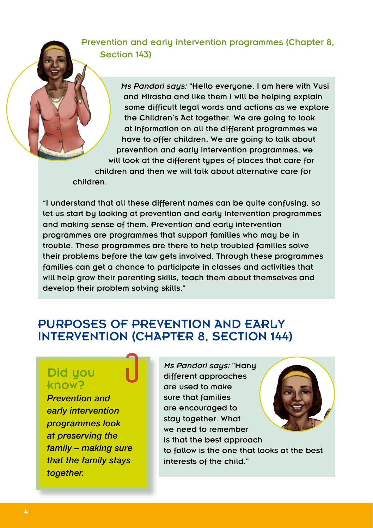Prevention and early intervention programmes (Chapter 8, Section 143)

> *Ms Pandori says:* "Hello everyone. I am here with Vusi and Mirasha and like them I will be helping explain some difficult legal words and actions as we explore the Children's Act together. We are going to look at information on all the different programmes we have to offer children. We are going to talk about prevention and early intervention programmes, we will look at the different types of places that care for

children and then we will talk about alternative care for children.

"I understand that all these different names can be quite confusing, so let us start by looking at prevention and early intervention programmes and making sense of them. Prevention and early intervention programmes are programmes that support families who may be in trouble. These programmes are there to help troubled families solve their problems before the law gets involved. Through these programmes families can get a chance to participate in classes and activities that will help grow their parenting skills, teach them about themselves and develop their problem solving skills."

### Purposes of prevention and early intervention (Chapter 8, Section 144)

### Did you know?

*Prevention and early intervention programmes look at preserving the family – making sure that the family stays together.* 

*Ms Pandori says:* "Many different approaches are used to make sure that families are encouraged to stay together. What we need to remember is that the best approach to follow is the one that looks at the best interests of the child."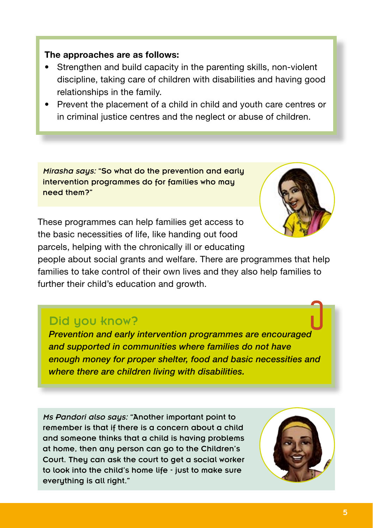#### **The approaches are as follows:**

- Strengthen and build capacity in the parenting skills, non-violent discipline, taking care of children with disabilities and having good relationships in the family.
- Prevent the placement of a child in child and youth care centres or in criminal justice centres and the neglect or abuse of children.

*Mirasha saus:* "So what do the prevention and early intervention programmes do for families who may need them?"

These programmes can help families get access to the basic necessities of life, like handing out food parcels, helping with the chronically ill or educating

people about social grants and welfare. There are programmes that help families to take control of their own lives and they also help families to further their child's education and growth.

### Did you know?

*Prevention and early intervention programmes are encouraged and supported in communities where families do not have enough money for proper shelter, food and basic necessities and where there are children living with disabilities.* 

*Ms Pandori also says:* "Another important point to remember is that if there is a concern about a child and someone thinks that a child is having problems at home, then any person can go to the Children's Court. They can ask the court to get a social worker to look into the child's home life - just to make sure everything is all right."

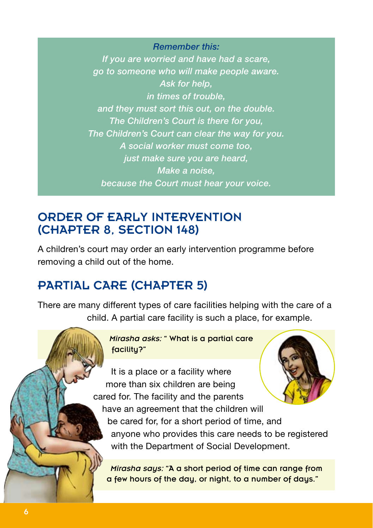*Remember this: If you are worried and have had a scare, go to someone who will make people aware. Ask for help, in times of trouble, and they must sort this out, on the double. The Children's Court is there for you, The Children's Court can clear the way for you. A social worker must come too, just make sure you are heard, Make a noise, because the Court must hear your voice.*

### Order of early intervention (Chapter 8, Section 148)

A children's court may order an early intervention programme before removing a child out of the home.

### Partial care (Chapter 5)

There are many different types of care facilities helping with the care of a child. A partial care facility is such a place, for example.

> *Mirasha asks:* " What is a partial care facility?"

It is a place or a facility where more than six children are being cared for. The facility and the parents have an agreement that the children will be cared for, for a short period of time, and anyone who provides this care needs to be registered with the Department of Social Development.

*Mirasha says:* "A a short period of time can range from a few hours of the day, or night, to a number of days."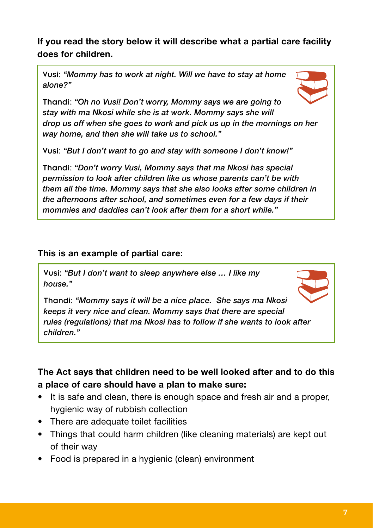#### **If you read the story below it will describe what a partial care facility does for children.**

Vusi: *"Mommy has to work at night. Will we have to stay at home alone?"*



Thandi: *"Oh no Vusi! Don't worry, Mommy says we are going to stay with ma Nkosi while she is at work. Mommy says she will drop us off when she goes to work and pick us up in the mornings on her way home, and then she will take us to school."*

Vusi: *"But I don't want to go and stay with someone I don't know!"*

Thandi: *"Don't worry Vusi, Mommy says that ma Nkosi has special permission to look after children like us whose parents can't be with them all the time. Mommy says that she also looks after some children in the afternoons after school, and sometimes even for a few days if their mommies and daddies can't look after them for a short while."*

#### **This is an example of partial care:**

Vusi: *"But I don't want to sleep anywhere else … I like my house."*



Thandi: *"Mommy says it will be a nice place. She says ma Nkosi keeps it very nice and clean. Mommy says that there are special rules (regulations) that ma Nkosi has to follow if she wants to look after children."*

**The Act says that children need to be well looked after and to do this a place of care should have a plan to make sure:**

- It is safe and clean, there is enough space and fresh air and a proper, hygienic way of rubbish collection
- There are adequate toilet facilities
- Things that could harm children (like cleaning materials) are kept out of their way
- Food is prepared in a hygienic (clean) environment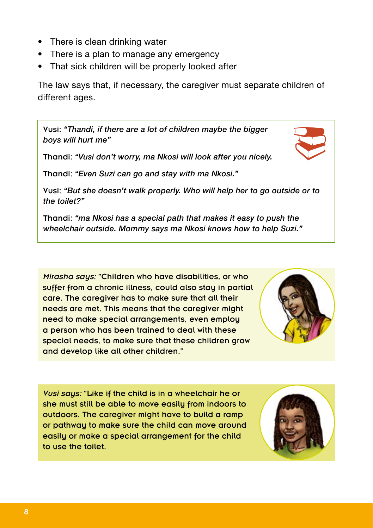- There is clean drinking water
- There is a plan to manage any emergency
- That sick children will be properly looked after

The law says that, if necessary, the caregiver must separate children of different ages.

Vusi: *"Thandi, if there are a lot of children maybe the bigger boys will hurt me"*

Thandi: *"Vusi don't worry, ma Nkosi will look after you nicely.*

Thandi: *"Even Suzi can go and stay with ma Nkosi."*

Vusi: *"But she doesn't walk properly. Who will help her to go outside or to the toilet?"*

Thandi: *"ma Nkosi has a special path that makes it easy to push the wheelchair outside. Mommy says ma Nkosi knows how to help Suzi."*

*Mirasha saus:* "Children who have disabilities, or who suffer from a chronic illness, could also stay in partial care. The caregiver has to make sure that all their needs are met. This means that the caregiver might need to make special arrangements, even employ a person who has been trained to deal with these special needs, to make sure that these children grow and develop like all other children."

*Vusi says:* "Like if the child is in a wheelchair he or she must still be able to move easily from indoors to outdoors. The caregiver might have to build a ramp or pathway to make sure the child can move around easily or make a special arrangement for the child to use the toilet.





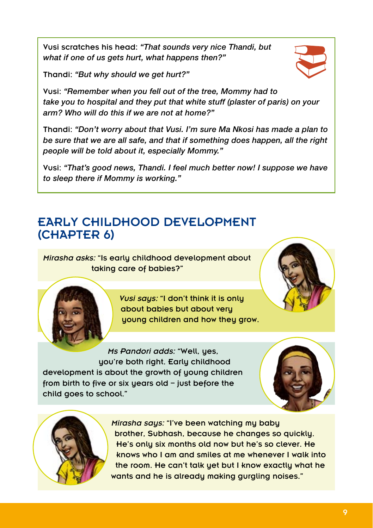Vusi scratches his head: *"That sounds very nice Thandi, but what if one of us gets hurt, what happens then?"*

Thandi: *"But why should we get hurt?"*

Vusi: *"Remember when you fell out of the tree, Mommy had to take you to hospital and they put that white stuff (plaster of paris) on your arm? Who will do this if we are not at home?"*

Thandi: *"Don't worry about that Vusi. I'm sure Ma Nkosi has made a plan to be sure that we are all safe, and that if something does happen, all the right people will be told about it, especially Mommy."*

Vusi: *"That's good news, Thandi. I feel much better now! I suppose we have to sleep there if Mommy is working."*

### Early childhood development (Chapter 6)

*Mirasha asks:* "Is early childhood development about taking care of babies?"

> *Vusi says:* "I don't think it is only about babies but about very young children and how they grow.

*Ms Pandori adds:* "Well, yes, you're both right. Early childhood development is about the growth of young children from birth to five or six years old – just before the child goes to school."





*Mirasha says:* "I've been watching my baby brother, Subhash, because he changes so quickly. He's only six months old now but he's so clever. He knows who I am and smiles at me whenever I walk into the room. He can't talk yet but I know exactly what he wants and he is already making gurgling noises."





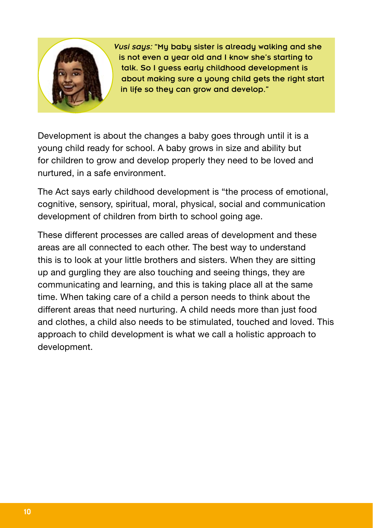

*Vusi saus:* "Mu baby sister is already walking and she is not even a year old and I know she's starting to talk. So I guess early childhood development is about making sure a young child gets the right start in life so they can grow and develop."

Development is about the changes a baby goes through until it is a young child ready for school. A baby grows in size and ability but for children to grow and develop properly they need to be loved and nurtured, in a safe environment.

The Act says early childhood development is "the process of emotional, cognitive, sensory, spiritual, moral, physical, social and communication development of children from birth to school going age.

These different processes are called areas of development and these areas are all connected to each other. The best way to understand this is to look at your little brothers and sisters. When they are sitting up and gurgling they are also touching and seeing things, they are communicating and learning, and this is taking place all at the same time. When taking care of a child a person needs to think about the different areas that need nurturing. A child needs more than just food and clothes, a child also needs to be stimulated, touched and loved. This approach to child development is what we call a holistic approach to development.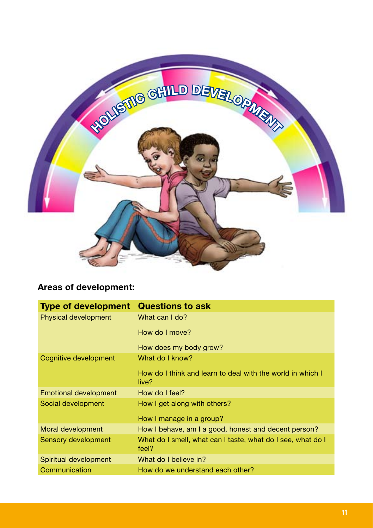

#### **Areas of development:**

| <b>Type of development</b>   | <b>Questions to ask</b>                                              |
|------------------------------|----------------------------------------------------------------------|
| <b>Physical development</b>  | What can I do?                                                       |
|                              | How do I move?                                                       |
|                              | How does my body grow?                                               |
| Cognitive development        | What do I know?                                                      |
|                              | How do I think and learn to deal with the world in which I<br>live?  |
| <b>Emotional development</b> | How do I feel?                                                       |
| Social development           | How I get along with others?                                         |
|                              | How I manage in a group?                                             |
| Moral development            | How I behave, am I a good, honest and decent person?                 |
| Sensory development          | What do I smell, what can I taste, what do I see, what do I<br>feel? |
| Spiritual development        | What do I believe in?                                                |
| Communication                | How do we understand each other?                                     |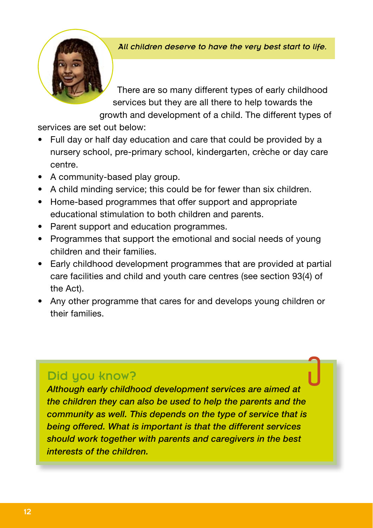#### *All children deserve to have the very best start to life.*

There are so many different types of early childhood services but they are all there to help towards the growth and development of a child. The different types of

services are set out below:

- Full day or half day education and care that could be provided by a nursery school, pre-primary school, kindergarten, crèche or day care centre.
- A community-based play group.
- A child minding service: this could be for fewer than six children.
- Home-based programmes that offer support and appropriate educational stimulation to both children and parents.
- Parent support and education programmes.
- Programmes that support the emotional and social needs of young children and their families.
- Early childhood development programmes that are provided at partial care facilities and child and youth care centres (see section 93(4) of the Act).
- Any other programme that cares for and develops young children or their families.

### Did you know?

*Although early childhood development services are aimed at the children they can also be used to help the parents and the community as well. This depends on the type of service that is being offered. What is important is that the different services should work together with parents and caregivers in the best interests of the children.*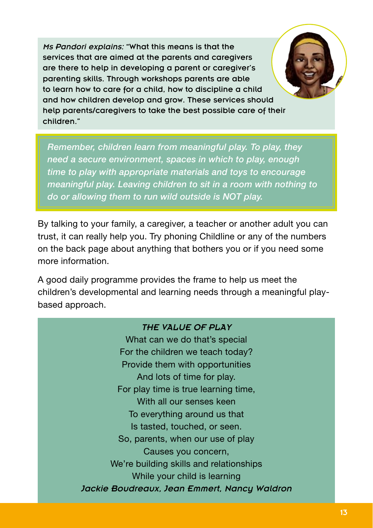*Ms Pandori explains:* "What this means is that the services that are aimed at the parents and caregivers are there to help in developing a parent or caregiver's parenting skills. Through workshops parents are able to learn how to care for a child, how to discipline a child and how children develop and grow. These services should help parents/caregivers to take the best possible care of their children."

*Remember, children learn from meaningful play. To play, they need a secure environment, spaces in which to play, enough time to play with appropriate materials and toys to encourage meaningful play. Leaving children to sit in a room with nothing to do or allowing them to run wild outside is NOT play.* 

By talking to your family, a caregiver, a teacher or another adult you can trust, it can really help you. Try phoning Childline or any of the numbers on the back page about anything that bothers you or if you need some more information.

A good daily programme provides the frame to help us meet the children's developmental and learning needs through a meaningful playbased approach.

#### *THE VALUE OF PLAY*

What can we do that's special For the children we teach today? Provide them with opportunities And lots of time for play. For play time is true learning time, With all our senses keen To everything around us that Is tasted, touched, or seen. So, parents, when our use of play Causes you concern, We're building skills and relationships While your child is learning *Jackie Boudreaux, Jean Emmert, Nancy Waldron*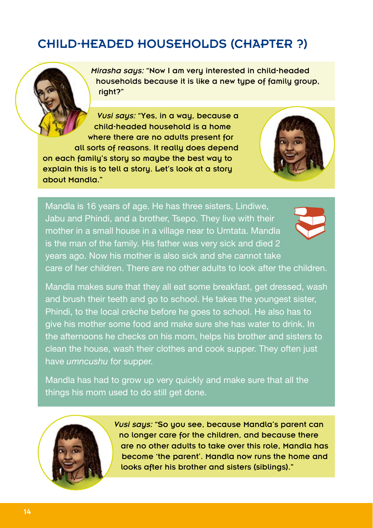### Child-headed households (Chapter ?)

*Mirasha says:* "Now I am very interested in child-headed households because it is like a new type of family group, right?"

*Vusi says:* "Yes, in a way, because a child-headed household is a home where there are no adults present for all sorts of reasons. It really does depend on each family's story so maybe the best way to explain this is to tell a story. Let's look at a story about Mandla."



Mandla is 16 years of age. He has three sisters, Lindiwe, Jabu and Phindi, and a brother, Tsepo. They live with their mother in a small house in a village near to Umtata. Mandla is the man of the family. His father was very sick and died 2 years ago. Now his mother is also sick and she cannot take care of her children. There are no other adults to look after the children.

Mandla makes sure that they all eat some breakfast, get dressed, wash and brush their teeth and go to school. He takes the youngest sister, Phindi, to the local crèche before he goes to school. He also has to give his mother some food and make sure she has water to drink. In the afternoons he checks on his mom, helps his brother and sisters to clean the house, wash their clothes and cook supper. They often just have *umncushu* for supper.

Mandla has had to grow up very quickly and make sure that all the things his mom used to do still get done.



*Vusi saus:* "So you see, because Mandla's parent can no longer care for the children, and because there are no other adults to take over this role, Mandla has become 'the parent'. Mandla now runs the home and looks after his brother and sisters (siblings)."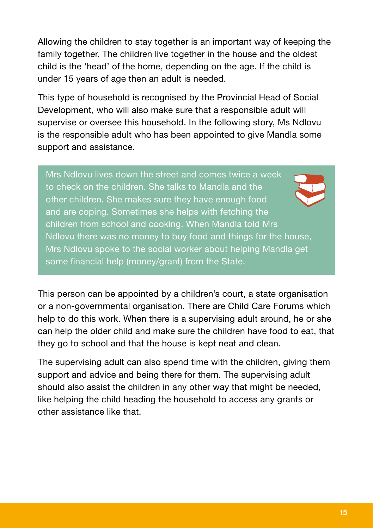Allowing the children to stay together is an important way of keeping the family together. The children live together in the house and the oldest child is the 'head' of the home, depending on the age. If the child is under 15 years of age then an adult is needed.

This type of household is recognised by the Provincial Head of Social Development, who will also make sure that a responsible adult will supervise or oversee this household. In the following story, Ms Ndlovu is the responsible adult who has been appointed to give Mandla some support and assistance.

Mrs Ndlovu lives down the street and comes twice a week to check on the children. She talks to Mandla and the other children. She makes sure they have enough food and are coping. Sometimes she helps with fetching the children from school and cooking. When Mandla told Mrs Ndlovu there was no money to buy food and things for the house, Mrs Ndlovu spoke to the social worker about helping Mandla get some financial help (money/grant) from the State.

This person can be appointed by a children's court, a state organisation or a non-governmental organisation. There are Child Care Forums which help to do this work. When there is a supervising adult around, he or she can help the older child and make sure the children have food to eat, that they go to school and that the house is kept neat and clean.

The supervising adult can also spend time with the children, giving them support and advice and being there for them. The supervising adult should also assist the children in any other way that might be needed, like helping the child heading the household to access any grants or other assistance like that.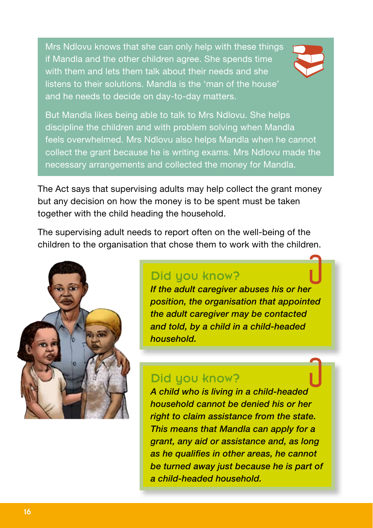Mrs Ndlovu knows that she can only help with these things if Mandla and the other children agree. She spends time with them and lets them talk about their needs and she listens to their solutions. Mandla is the 'man of the house' and he needs to decide on day-to-day matters.



But Mandla likes being able to talk to Mrs Ndlovu. She helps discipline the children and with problem solving when Mandla feels overwhelmed. Mrs Ndlovu also helps Mandla when he cannot collect the grant because he is writing exams. Mrs Ndlovu made the necessary arrangements and collected the money for Mandla.

The Act says that supervising adults may help collect the grant money but any decision on how the money is to be spent must be taken together with the child heading the household.

The supervising adult needs to report often on the well-being of the children to the organisation that chose them to work with the children.



### Did you know?

*If the adult caregiver abuses his or her position, the organisation that appointed the adult caregiver may be contacted and told, by a child in a child-headed household.*

### Did you know?

*A child who is living in a child-headed household cannot be denied his or her right to claim assistance from the state. This means that Mandla can apply for a grant, any aid or assistance and, as long as he qualifies in other areas, he cannot be turned away just because he is part of a child-headed household.*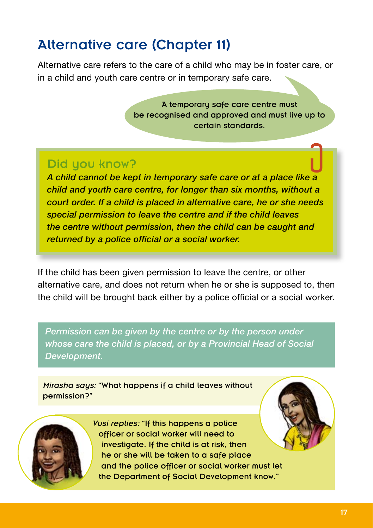# Alternative care (Chapter 11)

Alternative care refers to the care of a child who may be in foster care, or in a child and youth care centre or in temporary safe care.

> A temporary safe care centre must be recognised and approved and must live up to certain standards.

### Did you know?

*A child cannot be kept in temporary safe care or at a place like a child and youth care centre, for longer than six months, without a court order. If a child is placed in alternative care, he or she needs special permission to leave the centre and if the child leaves the centre without permission, then the child can be caught and returned by a police official or a social worker.* 

If the child has been given permission to leave the centre, or other alternative care, and does not return when he or she is supposed to, then the child will be brought back either by a police official or a social worker.

*Permission can be given by the centre or by the person under whose care the child is placed, or by a Provincial Head of Social Development.* 

*Mirasha says:* "What happens if a child leaves without permission?"



*Vusi replies:* "If this happens a police officer or social worker will need to investigate. If the child is at risk, then he or she will be taken to a safe place and the police officer or social worker must let the Department of Social Development know."

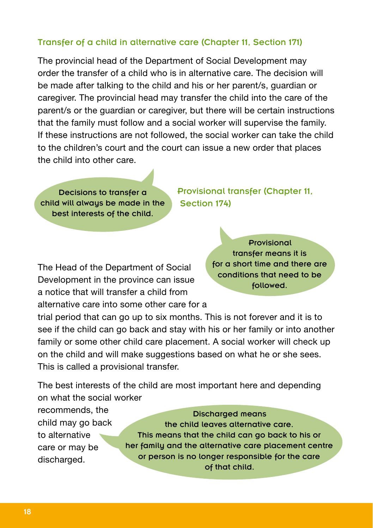#### Transfer of a child in alternative care (Chapter 11, Section 171)

The provincial head of the Department of Social Development may order the transfer of a child who is in alternative care. The decision will be made after talking to the child and his or her parent/s, guardian or caregiver. The provincial head may transfer the child into the care of the parent/s or the guardian or caregiver, but there will be certain instructions that the family must follow and a social worker will supervise the family. If these instructions are not followed, the social worker can take the child to the children's court and the court can issue a new order that places the child into other care.

Decisions to transfer a child will always be made in the best interests of the child.

Provisional transfer (Chapter 11, Section 174)

The Head of the Department of Social Development in the province can issue a notice that will transfer a child from alternative care into some other care for a

Provisional transfer means it is for a short time and there are conditions that need to be followed.

trial period that can go up to six months. This is not forever and it is to see if the child can go back and stay with his or her family or into another family or some other child care placement. A social worker will check up on the child and will make suggestions based on what he or she sees. This is called a provisional transfer.

The best interests of the child are most important here and depending on what the social worker

recommends, the child may go back to alternative care or may be discharged.

#### Discharged means

the child leaves alternative care. This means that the child can go back to his or her family and the alternative care placement centre or person is no longer responsible for the care of that child.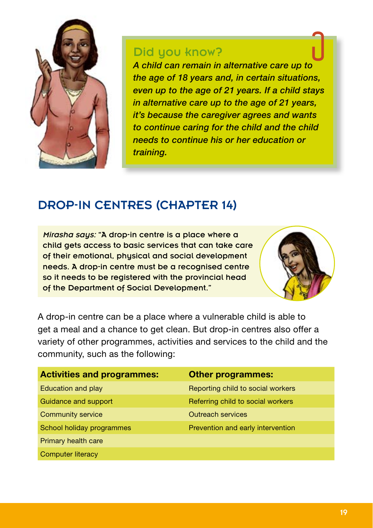

### Did you know?

*A child can remain in alternative care up to the age of 18 years and, in certain situations, even up to the age of 21 years. If a child stays in alternative care up to the age of 21 years, it's because the caregiver agrees and wants to continue caring for the child and the child needs to continue his or her education or training.*

### Drop-in centres (Chapter 14)

*Mirasha says:* "A drop-in centre is a place where a child gets access to basic services that can take care of their emotional, physical and social development needs. A drop-in centre must be a recognised centre so it needs to be registered with the provincial head of the Department of Social Development."



A drop-in centre can be a place where a vulnerable child is able to get a meal and a chance to get clean. But drop-in centres also offer a variety of other programmes, activities and services to the child and the community, such as the following:

| <b>Activities and programmes:</b> | <b>Other programmes:</b>          |
|-----------------------------------|-----------------------------------|
| Education and play                | Reporting child to social workers |
| Guidance and support              | Referring child to social workers |
| <b>Community service</b>          | <b>Outreach services</b>          |
| School holiday programmes         | Prevention and early intervention |
| Primary health care               |                                   |
| <b>Computer literacy</b>          |                                   |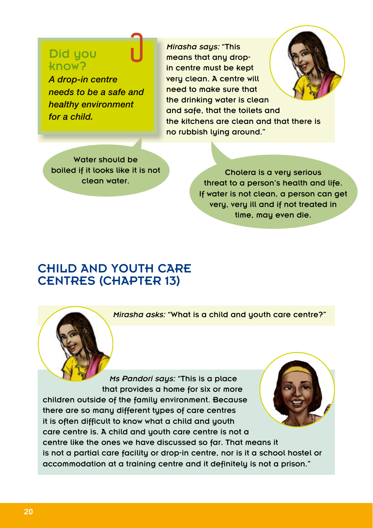### Did you know?

*A drop-in centre needs to be a safe and healthy environment for a child.* 

*Mirasha saus: "This* means that any dropin centre must be kept very clean. A centre will need to make sure that the drinking water is clean and safe, that the toilets and the kitchens are clean and that there is no rubbish luing around."

Water should be boiled if it looks like it is not clean water.

Cholera is a veru serious threat to a person's health and life. If water is not clean, a person can get very, very ill and if not treated in time, mau even die.

### Child and youth care centres (Chapter 13)

*Mirasha asks:* "What is a child and youth care centre?"

*Ms Pandori saus:* "This is a place that provides a home for six or more children outside of the family environment. Because there are so many different types of care centres it is often difficult to know what a child and youth care centre is. A child and youth care centre is not a centre like the ones we have discussed so far. That means it is not a partial care facility or drop-in centre, nor is it a school hostel or accommodation at a training centre and it definitely is not a prison."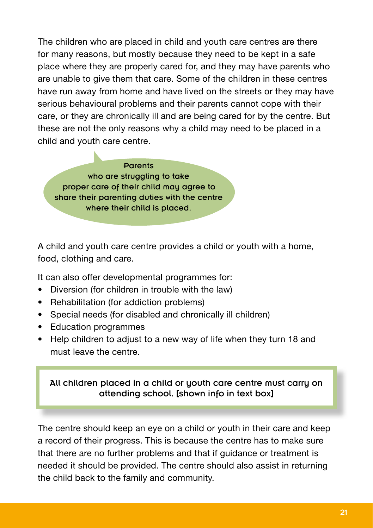The children who are placed in child and youth care centres are there for many reasons, but mostly because they need to be kept in a safe place where they are properly cared for, and they may have parents who are unable to give them that care. Some of the children in these centres have run away from home and have lived on the streets or they may have serious behavioural problems and their parents cannot cope with their care, or they are chronically ill and are being cared for by the centre. But these are not the only reasons why a child may need to be placed in a child and youth care centre.

Parents who are struggling to take proper care of their child may agree to share their parenting duties with the centre where their child is placed.

A child and youth care centre provides a child or youth with a home, food, clothing and care.

It can also offer developmental programmes for:

- Diversion (for children in trouble with the law)
- Rehabilitation (for addiction problems)
- Special needs (for disabled and chronically ill children)
- • Education programmes
- Help children to adjust to a new way of life when they turn 18 and must leave the centre.

#### All children placed in a child or youth care centre must carry on attending school. [shown info in text box]

The centre should keep an eye on a child or youth in their care and keep a record of their progress. This is because the centre has to make sure that there are no further problems and that if guidance or treatment is needed it should be provided. The centre should also assist in returning the child back to the family and community.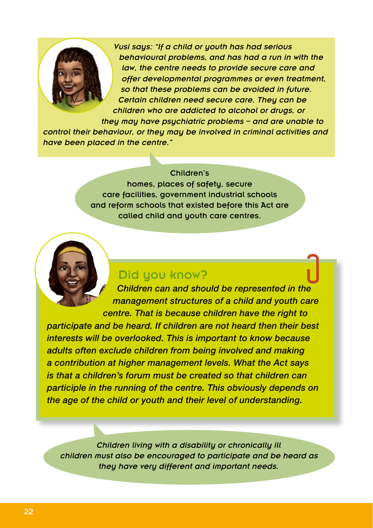

*Vusi says: "If a child or youth has had serious behavioural problems, and has had a run in with the law, the centre needs to provide secure care and offer developmental programmes or even treatment, so that these problems can be avoided in future. Certain children need secure care. They can be children who are addicted to alcohol or drugs, or* 

*they may have psychiatric problems – and are unable to control their behaviour, or they may be involved in criminal activities and have been placed in the centre."*

#### Children's

homes, places of safety, secure care facilities, government industrial schools and reform schools that existed before this Act are called child and youth care centres.



*Children can and should be represented in the management structures of a child and youth care centre. That is because children have the right to* 

*participate and be heard. If children are not heard then their best interests will be overlooked. This is important to know because adults often exclude children from being involved and making a contribution at higher management levels. What the Act says is that a children's forum must be created so that children can participle in the running of the centre. This obviously depends on the age of the child or youth and their level of understanding.*

*Children living with a disability or chronically ill children must also be encouraged to participate and be heard as they have very different and important needs.*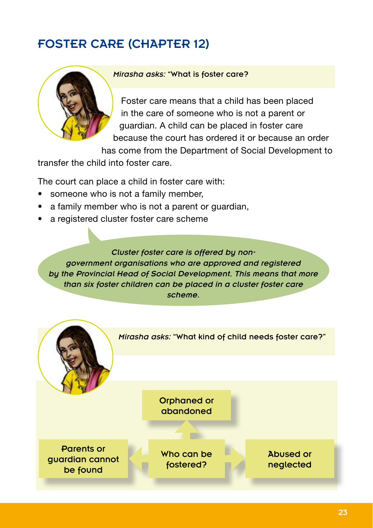## Foster care (Chapter 12)



#### *Mirasha asks:* "What is foster care?

Foster care means that a child has been placed in the care of someone who is not a parent or guardian. A child can be placed in foster care because the court has ordered it or because an order

has come from the Department of Social Development to

transfer the child into foster care.

The court can place a child in foster care with:

- someone who is not a family member,
- a family member who is not a parent or quardian,
- a registered cluster foster care scheme

*Cluster foster care is offered by nongovernment organisations who are approved and registered by the Provincial Head of Social Development. This means that more than six foster children can be placed in a cluster foster care scheme.*

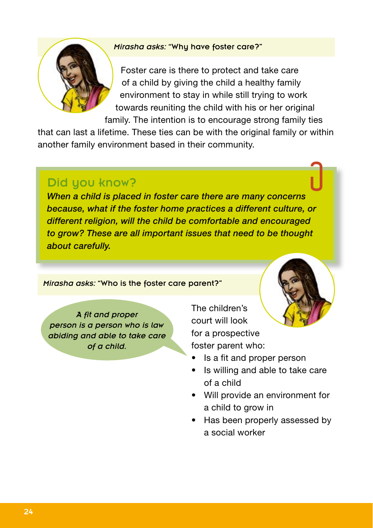#### *Mirasha asks:* "Why have foster care?"



Foster care is there to protect and take care of a child by giving the child a healthy family environment to stay in while still trying to work towards reuniting the child with his or her original

family. The intention is to encourage strong family ties

that can last a lifetime. These ties can be with the original family or within another family environment based in their community.

### Did you know?

*When a child is placed in foster care there are many concerns because, what if the foster home practices a different culture, or different religion, will the child be comfortable and encouraged to grow? These are all important issues that need to be thought about carefully.*

*Mirasha asks:* "Who is the foster care parent?"

*A fit and proper person is a person who is law abiding and able to take care of a child.* 

The children's court will look for a prospective foster parent who:

- Is a fit and proper person
- Is willing and able to take care of a child
- • Will provide an environment for a child to grow in
- Has been properly assessed by a social worker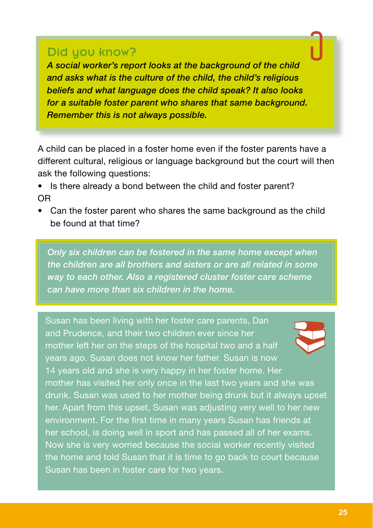### Did you know?

*A social worker's report looks at the background of the child and asks what is the culture of the child, the child's religious beliefs and what language does the child speak? It also looks for a suitable foster parent who shares that same background. Remember this is not always possible.*

A child can be placed in a foster home even if the foster parents have a different cultural, religious or language background but the court will then ask the following questions:

- Is there already a bond between the child and foster parent? OR
- Can the foster parent who shares the same background as the child be found at that time?

*Only six children can be fostered in the same home except when the children are all brothers and sisters or are all related in some way to each other. Also a registered cluster foster care scheme can have more than six children in the home.* 

Susan has been living with her foster care parents, Dan and Prudence, and their two children ever since her mother left her on the steps of the hospital two and a half years ago. Susan does not know her father. Susan is now 14 years old and she is very happy in her foster home. Her mother has visited her only once in the last two years and she was drunk. Susan was used to her mother being drunk but it always upset her. Apart from this upset, Susan was adjusting very well to her new environment. For the first time in many years Susan has friends at her school, is doing well in sport and has passed all of her exams. Now she is very worried because the social worker recently visited the home and told Susan that it is time to go back to court because Susan has been in foster care for two years.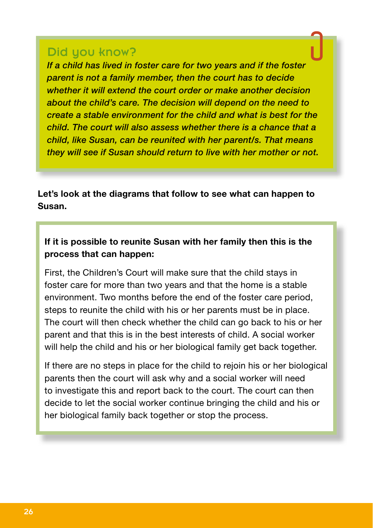#### Did you know?

*If a child has lived in foster care for two years and if the foster parent is not a family member, then the court has to decide whether it will extend the court order or make another decision about the child's care. The decision will depend on the need to create a stable environment for the child and what is best for the child. The court will also assess whether there is a chance that a child, like Susan, can be reunited with her parent/s. That means they will see if Susan should return to live with her mother or not.* 

**Let's look at the diagrams that follow to see what can happen to Susan.**

#### **If it is possible to reunite Susan with her family then this is the process that can happen:**

First, the Children's Court will make sure that the child stays in foster care for more than two years and that the home is a stable environment. Two months before the end of the foster care period, steps to reunite the child with his or her parents must be in place. The court will then check whether the child can go back to his or her parent and that this is in the best interests of child. A social worker will help the child and his or her biological family get back together.

If there are no steps in place for the child to rejoin his or her biological parents then the court will ask why and a social worker will need to investigate this and report back to the court. The court can then decide to let the social worker continue bringing the child and his or her biological family back together or stop the process.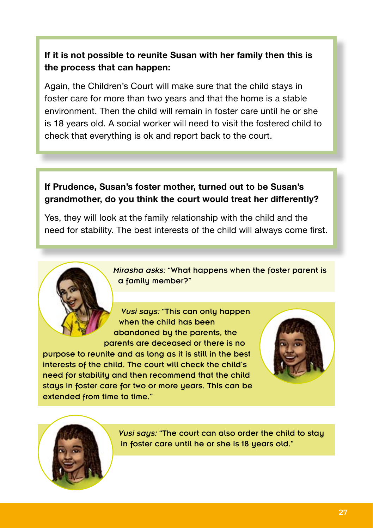#### **If it is not possible to reunite Susan with her family then this is the process that can happen:**

Again, the Children's Court will make sure that the child stays in foster care for more than two years and that the home is a stable environment. Then the child will remain in foster care until he or she is 18 years old. A social worker will need to visit the fostered child to check that everything is ok and report back to the court.

#### **If Prudence, Susan's foster mother, turned out to be Susan's grandmother, do you think the court would treat her differently?**

Yes, they will look at the family relationship with the child and the need for stability. The best interests of the child will always come first.

> *Mirasha asks:* "What happens when the foster parent is a family member?"

*Vusi saus:* "This can only happen when the child has been abandoned by the parents, the parents are deceased or there is no

purpose to reunite and as long as it is still in the best interests of the child. The court will check the child's need for stability and then recommend that the child stays in foster care for two or more years. This can be extended from time to time."





*Vusi saus:* "The court can also order the child to stau in foster care until he or she is 18 years old."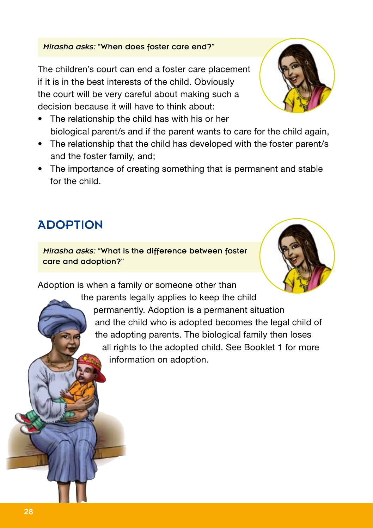# 28

### *Mirasha asks:* "When does foster care end?"

The children's court can end a foster care placement if it is in the best interests of the child. Obviously the court will be very careful about making such a decision because it will have to think about:

- The relationship the child has with his or her biological parent/s and if the parent wants to care for the child again,
- The relationship that the child has developed with the foster parent/s and the foster family, and;
- The importance of creating something that is permanent and stable for the child.

# **ADOPTION**

*Mirasha asks:* "What is the difference between foster care and adoption?"

Adoption is when a family or someone other than

the parents legally applies to keep the child permanently. Adoption is a permanent situation and the child who is adopted becomes the legal child of the adopting parents. The biological family then loses all rights to the adopted child. See Booklet 1 for more information on adoption.



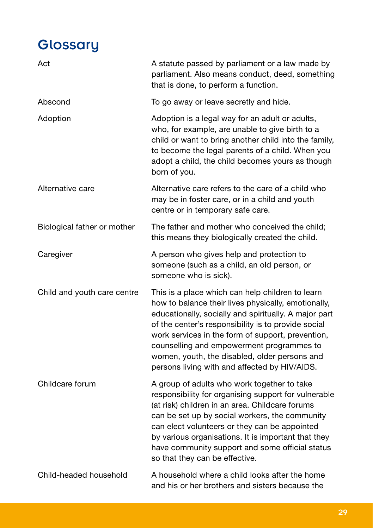# **Glossary**

| Act                         | A statute passed by parliament or a law made by<br>parliament. Also means conduct, deed, something<br>that is done, to perform a function.                                                                                                                                                                                                                                                                                  |
|-----------------------------|-----------------------------------------------------------------------------------------------------------------------------------------------------------------------------------------------------------------------------------------------------------------------------------------------------------------------------------------------------------------------------------------------------------------------------|
| Abscond                     | To go away or leave secretly and hide.                                                                                                                                                                                                                                                                                                                                                                                      |
| Adoption                    | Adoption is a legal way for an adult or adults,<br>who, for example, are unable to give birth to a<br>child or want to bring another child into the family,<br>to become the legal parents of a child. When you<br>adopt a child, the child becomes yours as though<br>born of you.                                                                                                                                         |
| Alternative care            | Alternative care refers to the care of a child who<br>may be in foster care, or in a child and youth<br>centre or in temporary safe care.                                                                                                                                                                                                                                                                                   |
| Biological father or mother | The father and mother who conceived the child;<br>this means they biologically created the child.                                                                                                                                                                                                                                                                                                                           |
| Caregiver                   | A person who gives help and protection to<br>someone (such as a child, an old person, or<br>someone who is sick).                                                                                                                                                                                                                                                                                                           |
| Child and youth care centre | This is a place which can help children to learn<br>how to balance their lives physically, emotionally,<br>educationally, socially and spiritually. A major part<br>of the center's responsibility is to provide social<br>work services in the form of support, prevention,<br>counselling and empowerment programmes to<br>women, youth, the disabled, older persons and<br>persons living with and affected by HIV/AIDS. |
| Childcare forum             | A group of adults who work together to take<br>responsibility for organising support for vulnerable<br>(at risk) children in an area. Childcare forums<br>can be set up by social workers, the community<br>can elect volunteers or they can be appointed<br>by various organisations. It is important that they<br>have community support and some official status<br>so that they can be effective.                       |
| Child-headed household      | A household where a child looks after the home<br>and his or her brothers and sisters because the                                                                                                                                                                                                                                                                                                                           |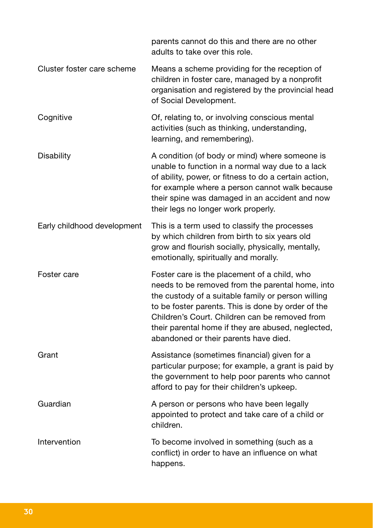|                             | parents cannot do this and there are no other<br>adults to take over this role.                                                                                                                                                                                                                                                                               |
|-----------------------------|---------------------------------------------------------------------------------------------------------------------------------------------------------------------------------------------------------------------------------------------------------------------------------------------------------------------------------------------------------------|
| Cluster foster care scheme  | Means a scheme providing for the reception of<br>children in foster care, managed by a nonprofit<br>organisation and registered by the provincial head<br>of Social Development.                                                                                                                                                                              |
| Cognitive                   | Of, relating to, or involving conscious mental<br>activities (such as thinking, understanding,<br>learning, and remembering).                                                                                                                                                                                                                                 |
| Disability                  | A condition (of body or mind) where someone is<br>unable to function in a normal way due to a lack<br>of ability, power, or fitness to do a certain action,<br>for example where a person cannot walk because<br>their spine was damaged in an accident and now<br>their legs no longer work properly.                                                        |
| Early childhood development | This is a term used to classify the processes<br>by which children from birth to six years old<br>grow and flourish socially, physically, mentally,<br>emotionally, spiritually and morally.                                                                                                                                                                  |
| Foster care                 | Foster care is the placement of a child, who<br>needs to be removed from the parental home, into<br>the custody of a suitable family or person willing<br>to be foster parents. This is done by order of the<br>Children's Court. Children can be removed from<br>their parental home if they are abused, neglected,<br>abandoned or their parents have died. |
| Grant                       | Assistance (sometimes financial) given for a<br>particular purpose; for example, a grant is paid by<br>the government to help poor parents who cannot<br>afford to pay for their children's upkeep.                                                                                                                                                           |
| Guardian                    | A person or persons who have been legally<br>appointed to protect and take care of a child or<br>children.                                                                                                                                                                                                                                                    |
| Intervention                | To become involved in something (such as a<br>conflict) in order to have an influence on what<br>happens.                                                                                                                                                                                                                                                     |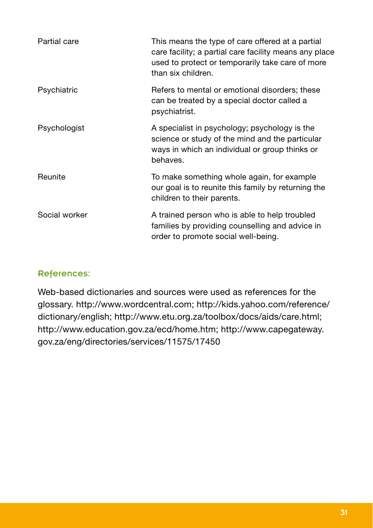| Partial care  | This means the type of care offered at a partial<br>care facility; a partial care facility means any place<br>used to protect or temporarily take care of more<br>than six children. |
|---------------|--------------------------------------------------------------------------------------------------------------------------------------------------------------------------------------|
| Psychiatric   | Refers to mental or emotional disorders; these<br>can be treated by a special doctor called a<br>psychiatrist.                                                                       |
| Psychologist  | A specialist in psychology; psychology is the<br>science or study of the mind and the particular<br>ways in which an individual or group thinks or<br>behaves.                       |
| Reunite       | To make something whole again, for example<br>our goal is to reunite this family by returning the<br>children to their parents.                                                      |
| Social worker | A trained person who is able to help troubled<br>families by providing counselling and advice in<br>order to promote social well-being.                                              |

#### References:

Web-based dictionaries and sources were used as references for the glossary. http://www.wordcentral.com; http://kids.yahoo.com/reference/ dictionary/english; http://www.etu.org.za/toolbox/docs/aids/care.html; http://www.education.gov.za/ecd/home.htm; http://www.capegateway. gov.za/eng/directories/services/11575/17450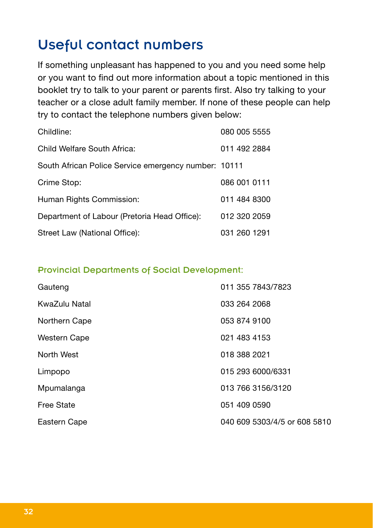# Useful contact numbers

If something unpleasant has happened to you and you need some help or you want to find out more information about a topic mentioned in this booklet try to talk to your parent or parents first. Also try talking to your teacher or a close adult family member. If none of these people can help try to contact the telephone numbers given below:

| Childline:                                           | 080 005 5555 |
|------------------------------------------------------|--------------|
| Child Welfare South Africa:                          | 011 492 2884 |
| South African Police Service emergency number: 10111 |              |
| Crime Stop:                                          | 086 001 0111 |
| Human Rights Commission:                             | 011 484 8300 |
| Department of Labour (Pretoria Head Office):         | 012 320 2059 |
| Street Law (National Office):                        | 031 260 1291 |

#### Provincial Departments of Social Development:

| Gauteng           | 011 355 7843/7823            |
|-------------------|------------------------------|
| KwaZulu Natal     | 033 264 2068                 |
| Northern Cape     | 053 874 9100                 |
| Western Cape      | 021 483 4153                 |
| North West        | 018 388 2021                 |
| Limpopo           | 015 293 6000/6331            |
| Mpumalanga        | 013 766 3156/3120            |
| <b>Free State</b> | 051 409 0590                 |
| Eastern Cape      | 040 609 5303/4/5 or 608 5810 |